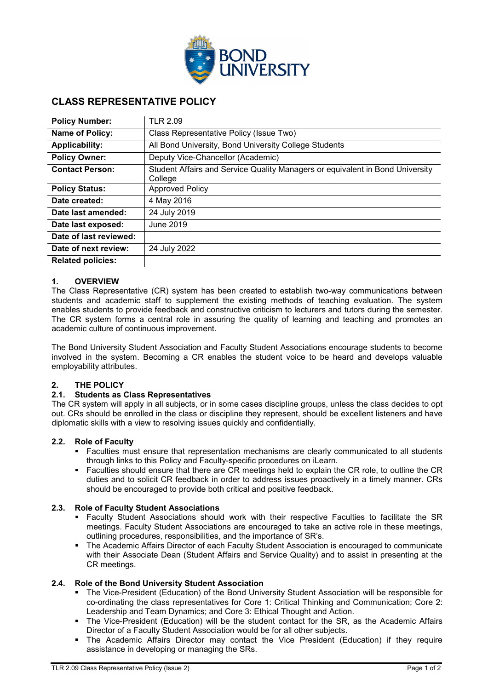

# **CLASS REPRESENTATIVE POLICY**

| <b>Policy Number:</b>    | <b>TLR 2.09</b>                                                                          |
|--------------------------|------------------------------------------------------------------------------------------|
| Name of Policy:          | Class Representative Policy (Issue Two)                                                  |
| <b>Applicability:</b>    | All Bond University, Bond University College Students                                    |
| <b>Policy Owner:</b>     | Deputy Vice-Chancellor (Academic)                                                        |
| <b>Contact Person:</b>   | Student Affairs and Service Quality Managers or equivalent in Bond University<br>College |
| <b>Policy Status:</b>    | <b>Approved Policy</b>                                                                   |
| Date created:            | 4 May 2016                                                                               |
| Date last amended:       | 24 July 2019                                                                             |
| Date last exposed:       | June 2019                                                                                |
| Date of last reviewed:   |                                                                                          |
| Date of next review:     | 24 July 2022                                                                             |
| <b>Related policies:</b> |                                                                                          |

#### **1. OVERVIEW**

The Class Representative (CR) system has been created to establish two-way communications between students and academic staff to supplement the existing methods of teaching evaluation. The system enables students to provide feedback and constructive criticism to lecturers and tutors during the semester. The CR system forms a central role in assuring the quality of learning and teaching and promotes an academic culture of continuous improvement.

The Bond University Student Association and Faculty Student Associations encourage students to become involved in the system. Becoming a CR enables the student voice to be heard and develops valuable employability attributes.

#### **2. THE POLICY**

#### **2.1. Students as Class Representatives**

The CR system will apply in all subjects, or in some cases discipline groups, unless the class decides to opt out. CRs should be enrolled in the class or discipline they represent, should be excellent listeners and have diplomatic skills with a view to resolving issues quickly and confidentially.

### **2.2. Role of Faculty**

- Faculties must ensure that representation mechanisms are clearly communicated to all students through links to this Policy and Faculty-specific procedures on iLearn.
- Faculties should ensure that there are CR meetings held to explain the CR role, to outline the CR duties and to solicit CR feedback in order to address issues proactively in a timely manner. CRs should be encouraged to provide both critical and positive feedback.

#### **2.3. Role of Faculty Student Associations**

- Faculty Student Associations should work with their respective Faculties to facilitate the SR meetings. Faculty Student Associations are encouraged to take an active role in these meetings, outlining procedures, responsibilities, and the importance of SR's.
- The Academic Affairs Director of each Faculty Student Association is encouraged to communicate with their Associate Dean (Student Affairs and Service Quality) and to assist in presenting at the CR meetings.

#### **2.4. Role of the Bond University Student Association**

- The Vice-President (Education) of the Bond University Student Association will be responsible for co-ordinating the class representatives for Core 1: Critical Thinking and Communication; Core 2: Leadership and Team Dynamics; and Core 3: Ethical Thought and Action.
- The Vice-President (Education) will be the student contact for the SR, as the Academic Affairs Director of a Faculty Student Association would be for all other subjects.
- The Academic Affairs Director may contact the Vice President (Education) if they require assistance in developing or managing the SRs.